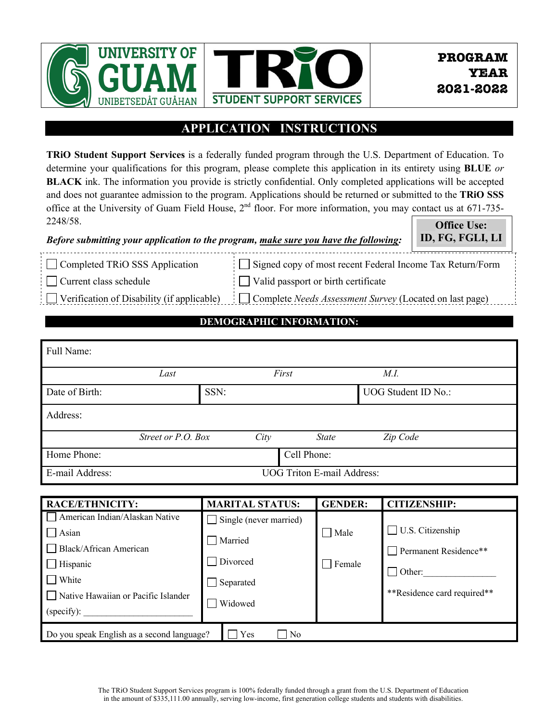

## **APPLICATION INSTRUCTIONS**

**TRiO Student Support Services** is a federally funded program through the U.S. Department of Education. To determine your qualifications for this program, please complete this application in its entirety using **BLUE** *or* **BLACK** ink. The information you provide is strictly confidential. Only completed applications will be accepted and does not guarantee admission to the program. Applications should be returned or submitted to the **TRiO SSS** office at the University of Guam Field House, 2<sup>nd</sup> floor. For more information, you may contact us at 671-735-2248/58. **Office Use:**

| Refore submitting your application to the program, make sure you have the following:   ID, FG, FGLI, LI |  |
|---------------------------------------------------------------------------------------------------------|--|
|---------------------------------------------------------------------------------------------------------|--|

Current class schedule

Signed copy of most recent Federal Income Tax Return/Form Valid passport or birth certificate

Verification of Disability (if applicable)

Completed TRiO SSS Application

Complete *Needs Assessment Survey* (Located on last page)

# **DEMOGRAPHIC INFORMATION:**

| Full Name:      |                                   |      |       |              |                     |  |
|-----------------|-----------------------------------|------|-------|--------------|---------------------|--|
|                 | Last                              |      | First |              | M.I.                |  |
| Date of Birth:  |                                   | SSN: |       |              | UOG Student ID No.: |  |
| Address:        |                                   |      |       |              |                     |  |
|                 | Street or P.O. Box                |      | City  | <b>State</b> | Zip Code            |  |
| Home Phone:     |                                   |      |       | Cell Phone:  |                     |  |
| E-mail Address: | <b>UOG Triton E-mail Address:</b> |      |       |              |                     |  |

| <b>RACE/ETHNICITY:</b>                                              | <b>MARITAL STATUS:</b> | <b>GENDER:</b>   | <b>CITIZENSHIP:</b>         |  |  |  |
|---------------------------------------------------------------------|------------------------|------------------|-----------------------------|--|--|--|
| American Indian/Alaskan Native                                      | Single (never married) |                  |                             |  |  |  |
| Asian                                                               | Married                | Male             | U.S. Citizenship            |  |  |  |
| Black/African American                                              |                        |                  | Permanent Residence**       |  |  |  |
| Hispanic                                                            | Divorced               | $\exists$ Female |                             |  |  |  |
| White                                                               | Separated              |                  | $\Box$ Other:               |  |  |  |
| Native Hawaiian or Pacific Islander                                 |                        |                  | **Residence card required** |  |  |  |
| (specify):                                                          | Widowed                |                  |                             |  |  |  |
| Do you speak English as a second language?<br>Yes<br>N <sub>0</sub> |                        |                  |                             |  |  |  |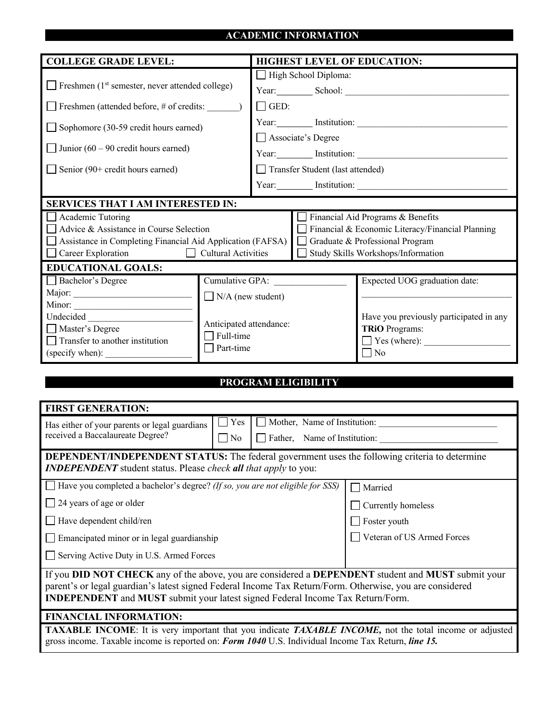### **ACADEMIC INFORMATION**

| <b>COLLEGE GRADE LEVEL:</b>                                                                                                                                                                                                  |                          | <b>HIGHEST LEVEL OF EDUCATION:</b> |                                                  |  |  |  |
|------------------------------------------------------------------------------------------------------------------------------------------------------------------------------------------------------------------------------|--------------------------|------------------------------------|--------------------------------------------------|--|--|--|
|                                                                                                                                                                                                                              |                          | High School Diploma:               |                                                  |  |  |  |
| $\Box$ Freshmen (1 <sup>st</sup> semester, never attended college)                                                                                                                                                           |                          |                                    |                                                  |  |  |  |
|                                                                                                                                                                                                                              |                          | $\Box$ GED:                        |                                                  |  |  |  |
| Sophomore (30-59 credit hours earned)                                                                                                                                                                                        |                          |                                    | Year: Institution: 1997                          |  |  |  |
| Junior $(60 - 90$ credit hours earned)                                                                                                                                                                                       |                          | Associate's Degree                 |                                                  |  |  |  |
|                                                                                                                                                                                                                              |                          |                                    |                                                  |  |  |  |
| Senior $(90+{\rm credit \ hours \ earned})$                                                                                                                                                                                  |                          | Transfer Student (last attended)   |                                                  |  |  |  |
|                                                                                                                                                                                                                              |                          |                                    |                                                  |  |  |  |
| <b>SERVICES THAT I AM INTERESTED IN:</b>                                                                                                                                                                                     |                          |                                    |                                                  |  |  |  |
| Academic Tutoring                                                                                                                                                                                                            |                          |                                    | Financial Aid Programs & Benefits                |  |  |  |
| Advice & Assistance in Course Selection                                                                                                                                                                                      |                          |                                    | Financial & Economic Literacy/Financial Planning |  |  |  |
| Assistance in Completing Financial Aid Application (FAFSA)                                                                                                                                                                   |                          |                                    | $\Box$ Graduate & Professional Program           |  |  |  |
| Career Exploration Cultural Activities                                                                                                                                                                                       |                          |                                    | Study Skills Workshops/Information               |  |  |  |
| <b>EDUCATIONAL GOALS:</b>                                                                                                                                                                                                    |                          |                                    |                                                  |  |  |  |
| Bachelor's Degree                                                                                                                                                                                                            |                          | Cumulative GPA:                    | Expected UOG graduation date:                    |  |  |  |
|                                                                                                                                                                                                                              | $\Box$ N/A (new student) |                                    |                                                  |  |  |  |
| Undecided                                                                                                                                                                                                                    |                          |                                    | Have you previously participated in any          |  |  |  |
| Master's Degree                                                                                                                                                                                                              | Anticipated attendance:  |                                    | <b>TRiO</b> Programs:                            |  |  |  |
| $\Box$ Transfer to another institution                                                                                                                                                                                       | $\Box$ Full-time         |                                    | Yes (where):                                     |  |  |  |
| (specify when):                                                                                                                                                                                                              | $\Box$ Part-time         |                                    | $\neg$ No                                        |  |  |  |
|                                                                                                                                                                                                                              |                          |                                    |                                                  |  |  |  |
|                                                                                                                                                                                                                              |                          | PROGRAM ELIGIBILITY                |                                                  |  |  |  |
|                                                                                                                                                                                                                              |                          |                                    |                                                  |  |  |  |
| <b>FIRST GENERATION:</b>                                                                                                                                                                                                     |                          |                                    |                                                  |  |  |  |
| Has either of your parents or legal guardians                                                                                                                                                                                |                          | Yes Mother, Name of Institution:   |                                                  |  |  |  |
| received a Baccalaureate Degree?                                                                                                                                                                                             | $\Box$ No                | Father, Name of Institution:       |                                                  |  |  |  |
|                                                                                                                                                                                                                              |                          |                                    |                                                  |  |  |  |
| <b>DEPENDENT/INDEPENDENT STATUS:</b> The federal government uses the following criteria to determine<br><b>INDEPENDENT</b> student status. Please <i>check all that apply</i> to you:                                        |                          |                                    |                                                  |  |  |  |
| Have you completed a bachelor's degree? (If so, you are not eligible for SSS)                                                                                                                                                |                          |                                    | $\Box$ Married                                   |  |  |  |
| 24 years of age or older                                                                                                                                                                                                     |                          |                                    | Currently homeless                               |  |  |  |
| Have dependent child/ren                                                                                                                                                                                                     |                          |                                    | Foster youth                                     |  |  |  |
| Emancipated minor or in legal guardianship                                                                                                                                                                                   |                          |                                    | Veteran of US Armed Forces                       |  |  |  |
| Serving Active Duty in U.S. Armed Forces                                                                                                                                                                                     |                          |                                    |                                                  |  |  |  |
| If you DID NOT CHECK any of the above, you are considered a DEPENDENT student and MUST submit your                                                                                                                           |                          |                                    |                                                  |  |  |  |
| parent's or legal guardian's latest signed Federal Income Tax Return/Form. Otherwise, you are considered                                                                                                                     |                          |                                    |                                                  |  |  |  |
| <b>INDEPENDENT</b> and MUST submit your latest signed Federal Income Tax Return/Form.                                                                                                                                        |                          |                                    |                                                  |  |  |  |
| <b>FINANCIAL INFORMATION:</b>                                                                                                                                                                                                |                          |                                    |                                                  |  |  |  |
| <b>TAXABLE INCOME:</b> It is very important that you indicate <b>TAXABLE INCOME</b> , not the total income or adjusted<br>gross income. Taxable income is reported on: Form 1040 U.S. Individual Income Tax Return, line 15. |                          |                                    |                                                  |  |  |  |
|                                                                                                                                                                                                                              |                          |                                    |                                                  |  |  |  |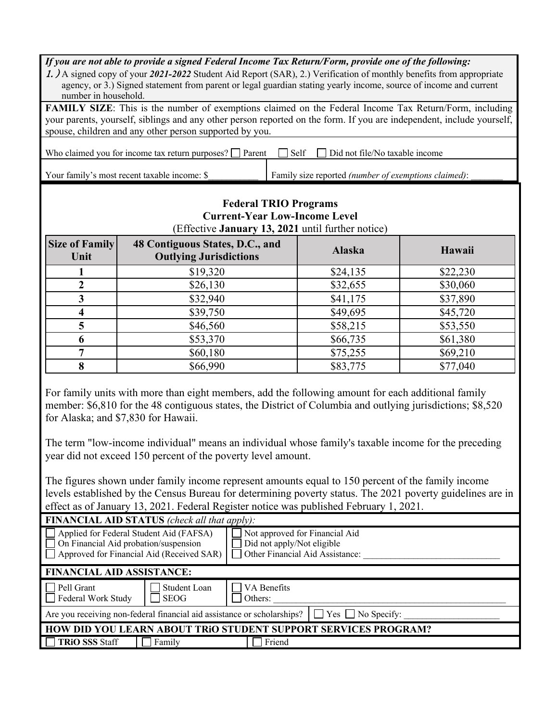| If you are not able to provide a signed Federal Income Tax Return/Form, provide one of the following:<br>1. A signed copy of your 2021-2022 Student Aid Report (SAR), 2.) Verification of monthly benefits from appropriate<br>agency, or 3.) Signed statement from parent or legal guardian stating yearly income, source of income and current<br>number in household.                                                                                                                                                                                                                                                                                                                                                                     |                                                                  |                                                                                                                           |          |  |  |
|----------------------------------------------------------------------------------------------------------------------------------------------------------------------------------------------------------------------------------------------------------------------------------------------------------------------------------------------------------------------------------------------------------------------------------------------------------------------------------------------------------------------------------------------------------------------------------------------------------------------------------------------------------------------------------------------------------------------------------------------|------------------------------------------------------------------|---------------------------------------------------------------------------------------------------------------------------|----------|--|--|
| FAMILY SIZE: This is the number of exemptions claimed on the Federal Income Tax Return/Form, including<br>your parents, yourself, siblings and any other person reported on the form. If you are independent, include yourself,<br>spouse, children and any other person supported by you.                                                                                                                                                                                                                                                                                                                                                                                                                                                   |                                                                  |                                                                                                                           |          |  |  |
|                                                                                                                                                                                                                                                                                                                                                                                                                                                                                                                                                                                                                                                                                                                                              | Who claimed you for income tax return purposes? $\Box$ Parent    | Self<br>Did not file/No taxable income                                                                                    |          |  |  |
|                                                                                                                                                                                                                                                                                                                                                                                                                                                                                                                                                                                                                                                                                                                                              | Your family's most recent taxable income: \$                     | Family size reported (number of exemptions claimed):                                                                      |          |  |  |
|                                                                                                                                                                                                                                                                                                                                                                                                                                                                                                                                                                                                                                                                                                                                              |                                                                  | <b>Federal TRIO Programs</b><br><b>Current-Year Low-Income Level</b><br>(Effective January 13, 2021 until further notice) |          |  |  |
| <b>Size of Family</b><br>Unit                                                                                                                                                                                                                                                                                                                                                                                                                                                                                                                                                                                                                                                                                                                | 48 Contiguous States, D.C., and<br><b>Outlying Jurisdictions</b> | <b>Alaska</b>                                                                                                             | Hawaii   |  |  |
| 1                                                                                                                                                                                                                                                                                                                                                                                                                                                                                                                                                                                                                                                                                                                                            | \$19,320                                                         | \$24,135                                                                                                                  | \$22,230 |  |  |
| $\overline{2}$                                                                                                                                                                                                                                                                                                                                                                                                                                                                                                                                                                                                                                                                                                                               | \$26,130                                                         | \$32,655                                                                                                                  | \$30,060 |  |  |
| 3                                                                                                                                                                                                                                                                                                                                                                                                                                                                                                                                                                                                                                                                                                                                            | \$32,940                                                         | \$41,175                                                                                                                  | \$37,890 |  |  |
| $\overline{\mathbf{4}}$                                                                                                                                                                                                                                                                                                                                                                                                                                                                                                                                                                                                                                                                                                                      | \$39,750                                                         | \$49,695                                                                                                                  | \$45,720 |  |  |
| 5                                                                                                                                                                                                                                                                                                                                                                                                                                                                                                                                                                                                                                                                                                                                            | \$46,560                                                         | \$58,215                                                                                                                  | \$53,550 |  |  |
| 6                                                                                                                                                                                                                                                                                                                                                                                                                                                                                                                                                                                                                                                                                                                                            | \$53,370                                                         | \$66,735                                                                                                                  | \$61,380 |  |  |
| 7                                                                                                                                                                                                                                                                                                                                                                                                                                                                                                                                                                                                                                                                                                                                            | \$60,180                                                         | \$75,255                                                                                                                  | \$69,210 |  |  |
| 8                                                                                                                                                                                                                                                                                                                                                                                                                                                                                                                                                                                                                                                                                                                                            | \$66,990                                                         | \$83,775                                                                                                                  | \$77,040 |  |  |
| For family units with more than eight members, add the following amount for each additional family<br>member: \$6,810 for the 48 contiguous states, the District of Columbia and outlying jurisdictions; \$8,520<br>for Alaska; and \$7,830 for Hawaii.<br>The term "low-income individual" means an individual whose family's taxable income for the preceding<br>year did not exceed 150 percent of the poverty level amount.<br>The figures shown under family income represent amounts equal to 150 percent of the family income<br>levels established by the Census Bureau for determining poverty status. The 2021 poverty guidelines are in<br>effect as of January 13, 2021. Federal Register notice was published February 1, 2021. |                                                                  |                                                                                                                           |          |  |  |
| FINANCIAL AID STATUS (check all that apply):                                                                                                                                                                                                                                                                                                                                                                                                                                                                                                                                                                                                                                                                                                 |                                                                  |                                                                                                                           |          |  |  |
| Applied for Federal Student Aid (FAFSA)<br>Not approved for Financial Aid<br>On Financial Aid probation/suspension<br>Did not apply/Not eligible<br>Approved for Financial Aid (Received SAR)<br>Other Financial Aid Assistance:                                                                                                                                                                                                                                                                                                                                                                                                                                                                                                             |                                                                  |                                                                                                                           |          |  |  |
| <b>FINANCIAL AID ASSISTANCE:</b>                                                                                                                                                                                                                                                                                                                                                                                                                                                                                                                                                                                                                                                                                                             |                                                                  |                                                                                                                           |          |  |  |
| Pell Grant<br>VA Benefits<br>Student Loan<br>Federal Work Study<br><b>SEOG</b><br>Others:                                                                                                                                                                                                                                                                                                                                                                                                                                                                                                                                                                                                                                                    |                                                                  |                                                                                                                           |          |  |  |
| Are you receiving non-federal financial aid assistance or scholarships?<br>$\Box$ No Specify:<br>Yes                                                                                                                                                                                                                                                                                                                                                                                                                                                                                                                                                                                                                                         |                                                                  |                                                                                                                           |          |  |  |
| <b>HOW DID YOU LEARN ABOUT TRIO STUDENT SUPPORT SERVICES PROGRAM?</b>                                                                                                                                                                                                                                                                                                                                                                                                                                                                                                                                                                                                                                                                        |                                                                  |                                                                                                                           |          |  |  |
| <b>TRIO SSS Staff</b><br>Friend<br>Family                                                                                                                                                                                                                                                                                                                                                                                                                                                                                                                                                                                                                                                                                                    |                                                                  |                                                                                                                           |          |  |  |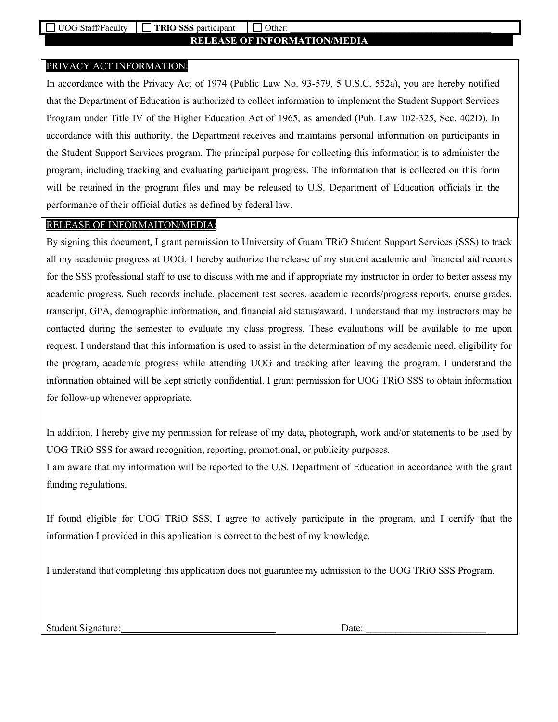### **RELEASE OF INFORMATION/MEDIA**

### PRIVACY ACT INFORMATION:

In accordance with the Privacy Act of 1974 (Public Law No. 93-579, 5 U.S.C. 552a), you are hereby notified that the Department of Education is authorized to collect information to implement the Student Support Services Program under Title IV of the Higher Education Act of 1965, as amended (Pub. Law 102-325, Sec. 402D). In accordance with this authority, the Department receives and maintains personal information on participants in the Student Support Services program. The principal purpose for collecting this information is to administer the program, including tracking and evaluating participant progress. The information that is collected on this form will be retained in the program files and may be released to U.S. Department of Education officials in the performance of their official duties as defined by federal law.

#### RELEASE OF INFORMAITON/MEDIA:

By signing this document, I grant permission to University of Guam TRiO Student Support Services (SSS) to track all my academic progress at UOG. I hereby authorize the release of my student academic and financial aid records for the SSS professional staff to use to discuss with me and if appropriate my instructor in order to better assess my academic progress. Such records include, placement test scores, academic records/progress reports, course grades, transcript, GPA, demographic information, and financial aid status/award. I understand that my instructors may be contacted during the semester to evaluate my class progress. These evaluations will be available to me upon request. I understand that this information is used to assist in the determination of my academic need, eligibility for the program, academic progress while attending UOG and tracking after leaving the program. I understand the information obtained will be kept strictly confidential. I grant permission for UOG TRiO SSS to obtain information for follow-up whenever appropriate.

In addition, I hereby give my permission for release of my data, photograph, work and/or statements to be used by UOG TRiO SSS for award recognition, reporting, promotional, or publicity purposes.

I am aware that my information will be reported to the U.S. Department of Education in accordance with the grant funding regulations.

If found eligible for UOG TRiO SSS, I agree to actively participate in the program, and I certify that the information I provided in this application is correct to the best of my knowledge.

I understand that completing this application does not guarantee my admission to the UOG TRiO SSS Program.

Student Signature: Date: